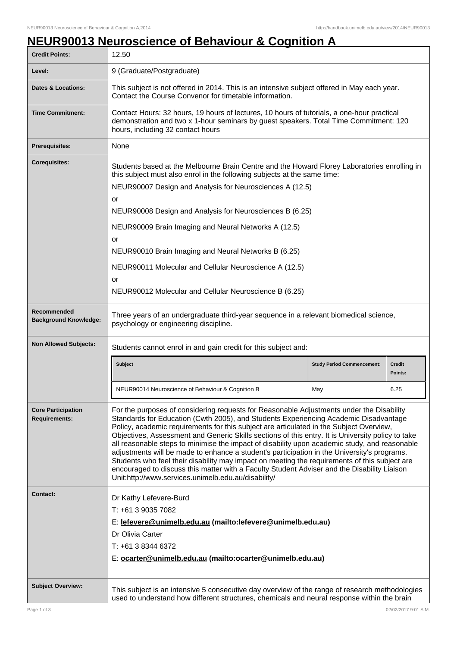## **NEUR90013 Neuroscience of Behaviour & Cognition A**

| <b>Credit Points:</b>                             | 12.50                                                                                                                                                                                                                                                                                                                                                                                                                                                                                                                                                                                                                                                                                                                                                                                                                                   |                                   |                          |
|---------------------------------------------------|-----------------------------------------------------------------------------------------------------------------------------------------------------------------------------------------------------------------------------------------------------------------------------------------------------------------------------------------------------------------------------------------------------------------------------------------------------------------------------------------------------------------------------------------------------------------------------------------------------------------------------------------------------------------------------------------------------------------------------------------------------------------------------------------------------------------------------------------|-----------------------------------|--------------------------|
| Level:                                            | 9 (Graduate/Postgraduate)                                                                                                                                                                                                                                                                                                                                                                                                                                                                                                                                                                                                                                                                                                                                                                                                               |                                   |                          |
| <b>Dates &amp; Locations:</b>                     | This subject is not offered in 2014. This is an intensive subject offered in May each year.<br>Contact the Course Convenor for timetable information.                                                                                                                                                                                                                                                                                                                                                                                                                                                                                                                                                                                                                                                                                   |                                   |                          |
| <b>Time Commitment:</b>                           | Contact Hours: 32 hours, 19 hours of lectures, 10 hours of tutorials, a one-hour practical<br>demonstration and two x 1-hour seminars by guest speakers. Total Time Commitment: 120<br>hours, including 32 contact hours                                                                                                                                                                                                                                                                                                                                                                                                                                                                                                                                                                                                                |                                   |                          |
| <b>Prerequisites:</b>                             | None                                                                                                                                                                                                                                                                                                                                                                                                                                                                                                                                                                                                                                                                                                                                                                                                                                    |                                   |                          |
| <b>Corequisites:</b>                              | Students based at the Melbourne Brain Centre and the Howard Florey Laboratories enrolling in<br>this subject must also enrol in the following subjects at the same time:<br>NEUR90007 Design and Analysis for Neurosciences A (12.5)<br>or<br>NEUR90008 Design and Analysis for Neurosciences B (6.25)<br>NEUR90009 Brain Imaging and Neural Networks A (12.5)<br>or<br>NEUR90010 Brain Imaging and Neural Networks B (6.25)                                                                                                                                                                                                                                                                                                                                                                                                            |                                   |                          |
|                                                   | NEUR90011 Molecular and Cellular Neuroscience A (12.5)                                                                                                                                                                                                                                                                                                                                                                                                                                                                                                                                                                                                                                                                                                                                                                                  |                                   |                          |
|                                                   | or<br>NEUR90012 Molecular and Cellular Neuroscience B (6.25)                                                                                                                                                                                                                                                                                                                                                                                                                                                                                                                                                                                                                                                                                                                                                                            |                                   |                          |
| Recommended<br><b>Background Knowledge:</b>       | Three years of an undergraduate third-year sequence in a relevant biomedical science,<br>psychology or engineering discipline.                                                                                                                                                                                                                                                                                                                                                                                                                                                                                                                                                                                                                                                                                                          |                                   |                          |
| <b>Non Allowed Subjects:</b>                      | Students cannot enrol in and gain credit for this subject and:                                                                                                                                                                                                                                                                                                                                                                                                                                                                                                                                                                                                                                                                                                                                                                          |                                   |                          |
|                                                   | <b>Subject</b>                                                                                                                                                                                                                                                                                                                                                                                                                                                                                                                                                                                                                                                                                                                                                                                                                          | <b>Study Period Commencement:</b> | <b>Credit</b><br>Points: |
|                                                   | NEUR90014 Neuroscience of Behaviour & Cognition B                                                                                                                                                                                                                                                                                                                                                                                                                                                                                                                                                                                                                                                                                                                                                                                       | May                               | 6.25                     |
| <b>Core Participation</b><br><b>Requirements:</b> | For the purposes of considering requests for Reasonable Adjustments under the Disability<br>Standards for Education (Cwth 2005), and Students Experiencing Academic Disadvantage<br>Policy, academic requirements for this subject are articulated in the Subject Overview,<br>Objectives, Assessment and Generic Skills sections of this entry. It is University policy to take<br>all reasonable steps to minimise the impact of disability upon academic study, and reasonable<br>adjustments will be made to enhance a student's participation in the University's programs.<br>Students who feel their disability may impact on meeting the requirements of this subject are<br>encouraged to discuss this matter with a Faculty Student Adviser and the Disability Liaison<br>Unit:http://www.services.unimelb.edu.au/disability/ |                                   |                          |
| <b>Contact:</b>                                   | Dr Kathy Lefevere-Burd<br>T: +61 3 9035 7082<br>E: lefevere@unimelb.edu.au (mailto:lefevere@unimelb.edu.au)<br>Dr Olivia Carter<br>T: +61 3 8344 6372<br>E: ocarter@unimelb.edu.au (mailto:ocarter@unimelb.edu.au)                                                                                                                                                                                                                                                                                                                                                                                                                                                                                                                                                                                                                      |                                   |                          |
| <b>Subject Overview:</b>                          | This subject is an intensive 5 consecutive day overview of the range of research methodologies<br>used to understand how different structures, chemicals and neural response within the brain                                                                                                                                                                                                                                                                                                                                                                                                                                                                                                                                                                                                                                           |                                   |                          |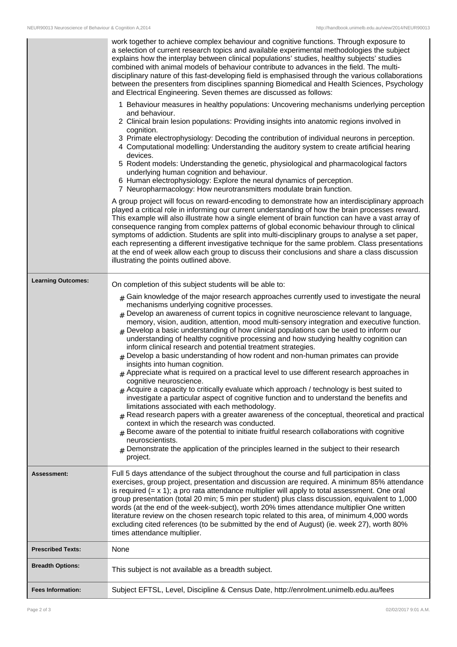|                           | work together to achieve complex behaviour and cognitive functions. Through exposure to<br>a selection of current research topics and available experimental methodologies the subject<br>explains how the interplay between clinical populations' studies, healthy subjects' studies<br>combined with animal models of behaviour contribute to advances in the field. The multi-<br>disciplinary nature of this fast-developing field is emphasised through the various collaborations<br>between the presenters from disciplines spanning Biomedical and Health Sciences, Psychology<br>and Electrical Engineering. Seven themes are discussed as follows:<br>1 Behaviour measures in healthy populations: Uncovering mechanisms underlying perception<br>and behaviour.<br>2 Clinical brain lesion populations: Providing insights into anatomic regions involved in<br>cognition.<br>3 Primate electrophysiology: Decoding the contribution of individual neurons in perception.<br>4 Computational modelling: Understanding the auditory system to create artificial hearing<br>devices.<br>5 Rodent models: Understanding the genetic, physiological and pharmacological factors<br>underlying human cognition and behaviour.<br>6 Human electrophysiology: Explore the neural dynamics of perception.<br>7 Neuropharmacology: How neurotransmitters modulate brain function.<br>A group project will focus on reward-encoding to demonstrate how an interdisciplinary approach<br>played a critical role in informing our current understanding of how the brain processes reward.<br>This example will also illustrate how a single element of brain function can have a vast array of<br>consequence ranging from complex patterns of global economic behaviour through to clinical<br>symptoms of addiction. Students are split into multi-disciplinary groups to analyse a set paper,<br>each representing a different investigative technique for the same problem. Class presentations<br>at the end of week allow each group to discuss their conclusions and share a class discussion<br>illustrating the points outlined above. |  |
|---------------------------|-------------------------------------------------------------------------------------------------------------------------------------------------------------------------------------------------------------------------------------------------------------------------------------------------------------------------------------------------------------------------------------------------------------------------------------------------------------------------------------------------------------------------------------------------------------------------------------------------------------------------------------------------------------------------------------------------------------------------------------------------------------------------------------------------------------------------------------------------------------------------------------------------------------------------------------------------------------------------------------------------------------------------------------------------------------------------------------------------------------------------------------------------------------------------------------------------------------------------------------------------------------------------------------------------------------------------------------------------------------------------------------------------------------------------------------------------------------------------------------------------------------------------------------------------------------------------------------------------------------------------------------------------------------------------------------------------------------------------------------------------------------------------------------------------------------------------------------------------------------------------------------------------------------------------------------------------------------------------------------------------------------------------------------------------------------------------------------------------------------------------------------------------|--|
| <b>Learning Outcomes:</b> | On completion of this subject students will be able to:                                                                                                                                                                                                                                                                                                                                                                                                                                                                                                                                                                                                                                                                                                                                                                                                                                                                                                                                                                                                                                                                                                                                                                                                                                                                                                                                                                                                                                                                                                                                                                                                                                                                                                                                                                                                                                                                                                                                                                                                                                                                                         |  |
|                           | $*$ Gain knowledge of the major research approaches currently used to investigate the neural<br>mechanisms underlying cognitive processes.<br>$#$ Develop an awareness of current topics in cognitive neuroscience relevant to language,<br>memory, vision, audition, attention, mood multi-sensory integration and executive function.<br>Develop a basic understanding of how clinical populations can be used to inform our<br>understanding of healthy cognitive processing and how studying healthy cognition can<br>inform clinical research and potential treatment strategies.<br>$#$ Develop a basic understanding of how rodent and non-human primates can provide<br>insights into human cognition.<br>$*$ Appreciate what is required on a practical level to use different research approaches in<br>cognitive neuroscience.<br>$#$ Acquire a capacity to critically evaluate which approach / technology is best suited to<br>investigate a particular aspect of cognitive function and to understand the benefits and<br>limitations associated with each methodology.<br>Read research papers with a greater awareness of the conceptual, theoretical and practical<br>$\pm$<br>context in which the research was conducted.<br>Become aware of the potential to initiate fruitful research collaborations with cognitive<br>neuroscientists.<br>Demonstrate the application of the principles learned in the subject to their research<br>project.                                                                                                                                                                                                                                                                                                                                                                                                                                                                                                                                                                                                                                                                             |  |
| <b>Assessment:</b>        | Full 5 days attendance of the subject throughout the course and full participation in class<br>exercises, group project, presentation and discussion are required. A minimum 85% attendance<br>is required $(= x 1)$ ; a pro rata attendance multiplier will apply to total assessment. One oral<br>group presentation (total 20 min; 5 min per student) plus class discussion, equivalent to 1,000<br>words (at the end of the week-subject), worth 20% times attendance multiplier One written<br>literature review on the chosen research topic related to this area, of minimum 4,000 words<br>excluding cited references (to be submitted by the end of August) (ie. week 27), worth 80%<br>times attendance multiplier.                                                                                                                                                                                                                                                                                                                                                                                                                                                                                                                                                                                                                                                                                                                                                                                                                                                                                                                                                                                                                                                                                                                                                                                                                                                                                                                                                                                                                   |  |
| <b>Prescribed Texts:</b>  | None                                                                                                                                                                                                                                                                                                                                                                                                                                                                                                                                                                                                                                                                                                                                                                                                                                                                                                                                                                                                                                                                                                                                                                                                                                                                                                                                                                                                                                                                                                                                                                                                                                                                                                                                                                                                                                                                                                                                                                                                                                                                                                                                            |  |
| <b>Breadth Options:</b>   | This subject is not available as a breadth subject.                                                                                                                                                                                                                                                                                                                                                                                                                                                                                                                                                                                                                                                                                                                                                                                                                                                                                                                                                                                                                                                                                                                                                                                                                                                                                                                                                                                                                                                                                                                                                                                                                                                                                                                                                                                                                                                                                                                                                                                                                                                                                             |  |
| <b>Fees Information:</b>  | Subject EFTSL, Level, Discipline & Census Date, http://enrolment.unimelb.edu.au/fees                                                                                                                                                                                                                                                                                                                                                                                                                                                                                                                                                                                                                                                                                                                                                                                                                                                                                                                                                                                                                                                                                                                                                                                                                                                                                                                                                                                                                                                                                                                                                                                                                                                                                                                                                                                                                                                                                                                                                                                                                                                            |  |